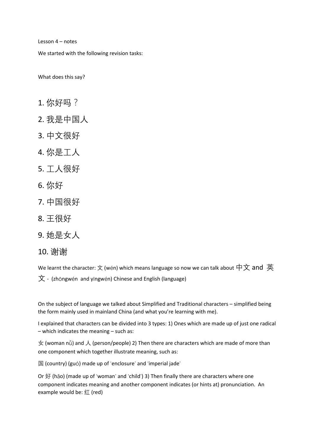Lesson 4 – notes

We started with the following revision tasks:

What does this say?

- 1. 你好吗?
- 2. 我是中国人
- 3. 中文很好
- 4. 你是工人
- 5. 工人很好
- 6. 你好
- 7. 中国很好
- 8. 王很好
- 9. 她是女人
- 10. 谢谢

We learnt the character:  $\chi$  (wén) which means language so now we can talk about  ${\not\!\!P} {\dot \chi}$  and  $\,\Huge{\#}$ 

 $\overline{X}$  - (zhōngwén and yīngwén) Chinese and English (language)

On the subject of language we talked about Simplified and Traditional characters – simplified being the form mainly used in mainland China (and what you're learning with me).

I explained that characters can be divided into 3 types: 1) Ones which are made up of just one radical – which indicates the meaning – such as:

女 (woman nǚ) and 人 (person/people) 2) Then there are characters which are made of more than one component which together illustrate meaning, such as:

国 (country) (guó) made up of 'enclosure' and 'imperial jade'

Or 好 (hǎo) (made up of 'woman' and 'child') 3) Then finally there are characters where one component indicates meaning and another component indicates (or hints at) pronunciation. An example would be:  $\angle 1$  (red)